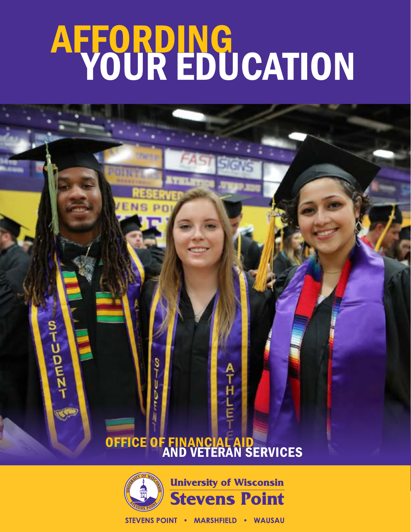# AFFORDING YOUR EDUCATION

### OFFICE OF FINANCIAL AID **AND VETERAN SERVICES**

ቶ<br>ዞ

Ĕ

s<br>T

MAZEWZ-



STEVENS POINT . MARSHFIELD . WAUSAU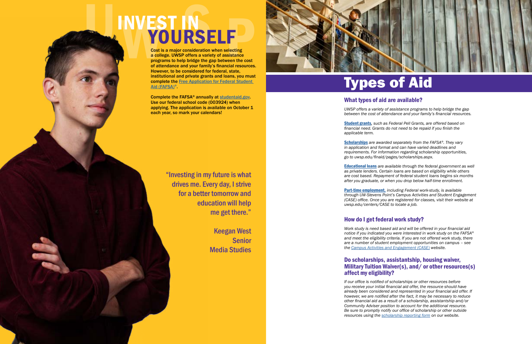## NWES<br>
MANGEL<br>
Cost in Cost in a college<br>
of atter<br>
Howsen **SAN DESCRIPTION OF A VALUE EXTERNS FINDING PRESERVED AND RESERVED AND RESERVED AND RESERVED AND RESERVED AND RESERVED AND RESERVED AND RESERVED AND RESERVED AND RESERVED AND RESERVED AND RESERVED AND RESPONSITION AND RESPONSITION AND RESPONSITION A YOURSELF**

L.

### What types of aid are available?

*UWSP offers a variety of assistance programs to help bridge the gap between the cost of attendance and your family's financial resources.*

[Student grants](https://www.uwsp.edu/finaid/Pages/grantsAndWaviers.aspx) *, such as Federal Pell Grants, are offered based on financial need. Grants do not need to be repaid if you finish the* 

*applicable term.* 

[Scholarships](https://www.uwsp.edu/finaid/Pages/scholarships.aspx) *are awarded separately from the FAFSA ®. They vary in application and format and can have varied deadlines and requirements. For information regarding scholarship opportunities,* 

*go to uwsp.edu/finaid/pages/scholarships.aspx.*

[Educational loans](https://www.uwsp.edu/finaid/Pages/loans.aspx) *are available through the federal government as well as private lenders. Certain loans are based on eligibility while others are cost based. Repayment of federal student loans begins six months after you graduate, or when you drop below half-time enrollment.* 

[Part-time employment,](https://www.uwsp.edu/finaid/Pages/studentEmployment.aspx) *including Federal work-study, is available through UW-Stevens Point's Campus Activities and Student Engagement (CASE) office. Once you are registered for classes, visit their website at uwsp.edu/centers/CASE to locate a job.*

### How do I get federal work study?

*Work study is need based aid and will be offered in your financial aid notice if you indicated you were interested in work study on the FAFSA ® and meet the eligibility criteria. If you are not offered work study, there are a number of student employment opportunities on campus – see the [Campus Activities and Engagement \(CASE\)](https://www.uwsp.edu/centers/CASE/pages/default.aspx) website.*

Complete the FAFSA® annually at [studentaid.gov.](http://studentaid.gov) Use our federal school code (003924) when applying. The application is available on October 1 each year, so mark your calendars!

### Do scholarships, assistantship, housing waiver, Military Tuition Waiver(s), and/ or other resources(s) affect my eligibility?

*If our office is notified of scholarships or other resources before you receive your initial financial aid offer, the resource should have already been considered and represented in your financial aid offer. If however, we are notified after the fact, it may be necessary to reduce other financial aid as a result of a scholarship, assistantship and/or Community Adviser position to account for the additional resource. Be sure to promptly notify our office of scholarship or other outside resources using the [scholarship reporting form](https://www.uwsp.edu/finaid/Pages/scholarships.aspx) on our website.*

### Types of Aid

"Investing in my future is what drives me. Every day, I strive for a better tomorrow and education will help me get there."

> Keegan West Senior Media Studies



Cost is a major consideration when selecting a college. UWSP offers a variety of assistance programs to help bridge the gap between the cost of attendance and your family's financial resources. However, to be considered for federal, state, institutional and private grants and loans, you must complete the [Free Application for Federal Student](https://studentaid.gov/h/apply-for-aid/fafsa)  [Aid \(FAFSA\)](https://studentaid.gov/h/apply-for-aid/fafsa) ® .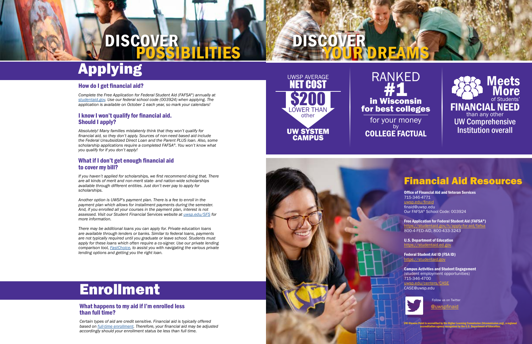### Financial Aid Resources

Office of Financial Aid and Veteran Services 715-346-4771 [uwsp.edu/finaid](https://www.uwsp.edu/finaid/Pages/default.aspx) finaid@uwsp.edu Our FAFSA® School Code: 003924

Free Application for Federal Student Aid (FAFSA®) <https://studentaid.gov/h/apply-for-aid/fafsa> 800-4-FED-AID, 800-433-3243

U.S. Department of Education <https://studentaid.ed.gov>

Federal Student Aid ID (FSA ID) <https://studentaid.gov>

Campus Activities and Student Engagement (student employment opportunities) 715-346-4700 [uwsp.edu/centers/CASE](https://www.uwsp.edu/centers/CASE/pages/default.aspx) CASE@uwsp.edu



Follow us on Twitter

[@uwspfinaid](https://www.twitter.com/uwspfinaid)

UW-Stevens Point is accredited by the Higher Learning Commission (hlcommission.org), a regional accreditation agency recognized by the U.S. Department of Education.

#### How do I get financial aid?

*Complete the Free Application for Federal Student Aid (FAFSA®) annually at [studentaid.gov](https://www.uwsp.edu/finaid/Pages/scholarships.aspx). Use our federal school code (003924) when applying. The application is available on October 1 each year, so mark your calendars!* 

#### I know I won't qualify for financial aid. Should I apply?

*Absolutely! Many families mistakenly think that they won't qualify for financial aid, so they don't apply. Sources of non-need based aid include the Federal Unsubsidized Direct Loan and the Parent PLUS loan. Also, some scholarship applications require a completed FAFSA®. You won't know what you qualify for if you don't apply!*

### What if I don't get enough financial aid to cover my bill?

**Meets More** of Students' FINANCIAL NEED than any other UW Comprehensive Institution overall

*If you haven't applied for scholarships, we first recommend doing that. There are all kinds of merit and non-merit state- and nation-wide scholarships available through different entities. Just don't ever pay to apply for scholarships.*

*Another option is UWSP's payment plan. There is a fee to enroll in the payment plan which allows for installment payments during the semester. And, if you enrolled all your courses in the payment plan, interest is not assessed. Visit our Student Financial Services website at [uwsp.edu/SFS](https://www.uwsp.edu/sfs/Pages/default.aspx) for more information.* 

*There may be additional loans you can apply for. Private education loans are available through lenders or banks. Similar to federal loans, payments are not typically required until you graduate or leave school. Students must apply for these loans which often require a co-signer. Use our private lending comparison tool, [FastChoice](https://choice.fastproducts.org/FastChoice/home/392400), to assist you with navigating the various private lending options and getting you the right loan.*

## Applying

### Enrollment

#### What happens to my aid if I'm enrolled less than full time?

*Certain types of aid are credit sensitive. Financial aid is typically offered based on [full-time enrollment](https://www.uwsp.edu/finaid/Pages/enrollment.aspx). Therefore, your financial aid may be adjusted accordingly should your enrollment status be less than full time.* 

# DISCOVER



RANKED #1 in Wisconsin for best colleges for your money by





### UWSP AVERAGE NET COST UW SYSTEM CAMPUS **\$200** LOWER THAN other

DISCOVER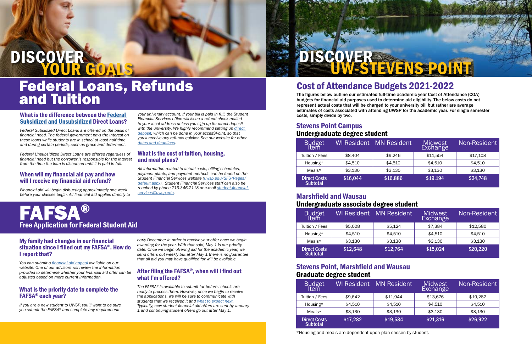#### What is the difference between the [Federal](https://www.uwsp.edu/finaid/Pages/loans.aspx
)  [Subsidized and Unsubsidized](https://www.uwsp.edu/finaid/Pages/loans.aspx
) Direct Loans?

*Federal Subsidized Direct Loans are offered on the basis of financial need. The federal government pays the interest on these loans while students are in school at least half time and during certain periods, such as grace and deferment.*

*Federal Unsubsidized Direct Loans are offered regardless of financial need but the borrower is responsible for the interest from the time the loan is disbursed until it is paid in full.*

#### When will my financial aid pay and how will I receive my financial aid refund?

*Financial aid will begin disbursing approximately one week before your classes begin. All financial aid applies directly to* 

*your university account. If your bill is paid in full, the Student Financial Services office will issue a refund check mailed to your local address unless you sign up for direct deposit*  with the university. We highly recommend setting up *direct [deposit](https://www.uwsp.edu/SFS/Pages/Student-Refunds.aspx), which can be done in your accesSPoint, so that you'll receive any refunds quicker. See our website for other [dates and deadlines](https://www.uwsp.edu/finaid/Pages/datesanddeadlines.aspx).*

### What is the cost of tuition, housing, and meal plans?

*All information related to actual costs, billing schedules, payment plants, and payment methods can be found on the Student Financial Services website ([uwsp.edu/SFS/Pages/](https://www.uwsp.edu/SFS/Pages/default.aspx) [default.aspx\)](https://www.uwsp.edu/SFS/Pages/default.aspx). Student Financial Services staff can also be reached by phone 715-346-2118 or e-mail [student.financial.](mailto://student.financial.services@uwsp.edu) [services@uwsp.edu.](mailto://student.financial.services@uwsp.edu)*

### Federal Loans, Refunds and Tuition

#### My family had changes in our financial situation since I filled out my FAFSA®. How do I report that?

*You can submit a [financial aid appeal](https://www.uwsp.edu/finaid/Pages/unusualCircumstances.aspx) available on our website. One of our advisors will review the information provided to determine whether your financial aid offer can be adjusted based on more current information.*

### What is the priority date to complete the FAFSA® each year?

### DISCOVER **YOUR GOALS**

*If you are a new student to UWSP, you'll want to be sure you submit the FAFSA® and complete any requirements* 

*early December in order to receive your offer once we begin awarding for the year. With that said, May 1 is our priority date. Once we begin offering aid for the academic year, we send offers out weekly but after May 1 there is no guarantee that all aid you may have qualified for will be available.*

#### After filing the FAFSA®, when will I find out what I'm offered?

*The FAFSA® is available to submit far before schools are ready to process them. However, once we begin to receive the applications, we will be sure to communicate with students that we received it and [what to expect next](https://www.uwsp.edu/finaid/Pages/nextsteps.aspx). Typically, new student financial aid offers are sent by January 1 and continuing student offers go out after May 1.* 

### FAFSA® Free Application for Federal Student Aid

### Stevens Point Campus Undergraduate degree student

| Budget<br>Item                         | WI Resident | <b>MN Resident</b> | Midwest<br><b>Exchange</b> | Non-Resident |
|----------------------------------------|-------------|--------------------|----------------------------|--------------|
| Tuition / Fees                         | \$8,404     | \$9,246            | \$11,554                   | \$17,108     |
| Housing*                               | \$4,510     | \$4,510            | \$4,510                    | \$4,510      |
| Meals $*$                              | \$3,130     | \$3,130            | \$3,130                    | \$3,130      |
| <b>Direct Costs</b><br><b>Subtotal</b> | \$16,044    | \$16,886           | \$19,194                   | \$24,748     |

### Marshfield and Wausau Undergraduate associate degree student

| Budget<br>Item                         | <b>WI Resident</b> | <b>MN Resident</b> | <b>Midwest</b><br>Exchange | Non-Resident |
|----------------------------------------|--------------------|--------------------|----------------------------|--------------|
| Tuition / Fees                         | \$5,008            | \$5,124            | \$7,384                    | \$12,580     |
| Housing*                               | \$4,510            | \$4,510            | \$4,510                    | \$4,510      |
| Meals $*$                              | \$3,130            | \$3,130            | \$3,130                    | \$3,130      |
| <b>Direct Costs</b><br><b>Subtotal</b> | \$12,648           | \$12,764           | \$15,024                   | \$20,220     |

### Stevens Point, Marshfield and Wausau Graduate degree student

| Budget<br>Item                         |          | WI Resident MN Resident | Midwest<br>Exchange | <b>Non-Resident</b> |
|----------------------------------------|----------|-------------------------|---------------------|---------------------|
| Tuition / Fees                         | \$9,642  | \$11,944                | \$13,676            | \$19,282            |
| Housing*                               | \$4,510  | \$4,510                 | \$4,510             | \$4,510             |
| Meals $*$                              | \$3,130  | \$3,130                 | \$3,130             | \$3,130             |
| <b>Direct Costs</b><br><b>Subtotal</b> | \$17,282 | \$19,584                | \$21,316            | \$26,922            |

\*Housing and meals are dependent upon plan chosen by student.

DISCOVER



### Cost of Attendance Budgets 2021-2022

The figures below outline our estimated full-time academic year Cost of Attendance (COA) budgets for financial aid purposes used to determine aid eligibility. The below costs do not represent actual costs that will be charged to your university bill but rather are average estimates of costs associated with attending UWSP for the academic year. For single semester costs, simply divide by two.